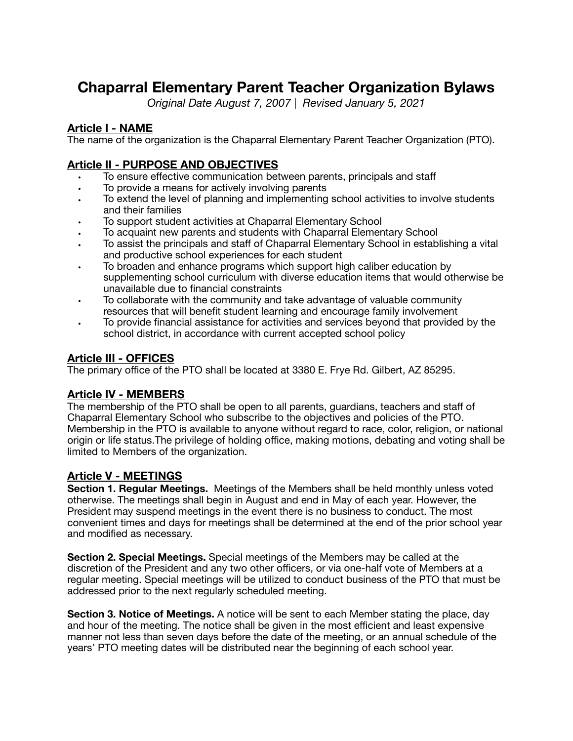# **Chaparral Elementary Parent Teacher Organization Bylaws**

*Original Date August 7, 2007 | Revised January 5, 2021*

# **Article I - NAME**

The name of the organization is the Chaparral Elementary Parent Teacher Organization (PTO).

# **Article II - PURPOSE AND OBJECTIVES**

- To ensure effective communication between parents, principals and staff
- To provide a means for actively involving parents
- To extend the level of planning and implementing school activities to involve students and their families
- To support student activities at Chaparral Elementary School
- To acquaint new parents and students with Chaparral Elementary School
- To assist the principals and staff of Chaparral Elementary School in establishing a vital and productive school experiences for each student
- To broaden and enhance programs which support high caliber education by supplementing school curriculum with diverse education items that would otherwise be unavailable due to financial constraints
- To collaborate with the community and take advantage of valuable community resources that will benefit student learning and encourage family involvement
- To provide financial assistance for activities and services beyond that provided by the school district, in accordance with current accepted school policy

# **Article III - OFFICES**

The primary office of the PTO shall be located at 3380 E. Frye Rd. Gilbert, AZ 85295.

# **Article IV - MEMBERS**

The membership of the PTO shall be open to all parents, guardians, teachers and staff of Chaparral Elementary School who subscribe to the objectives and policies of the PTO. Membership in the PTO is available to anyone without regard to race, color, religion, or national origin or life status.The privilege of holding office, making motions, debating and voting shall be limited to Members of the organization.

# **Article V - MEETINGS**

**Section 1. Regular Meetings.** Meetings of the Members shall be held monthly unless voted otherwise. The meetings shall begin in August and end in May of each year. However, the President may suspend meetings in the event there is no business to conduct. The most convenient times and days for meetings shall be determined at the end of the prior school year and modified as necessary.

**Section 2. Special Meetings.** Special meetings of the Members may be called at the discretion of the President and any two other officers, or via one-half vote of Members at a regular meeting. Special meetings will be utilized to conduct business of the PTO that must be addressed prior to the next regularly scheduled meeting.

**Section 3. Notice of Meetings.** A notice will be sent to each Member stating the place, day and hour of the meeting. The notice shall be given in the most efficient and least expensive manner not less than seven days before the date of the meeting, or an annual schedule of the years' PTO meeting dates will be distributed near the beginning of each school year.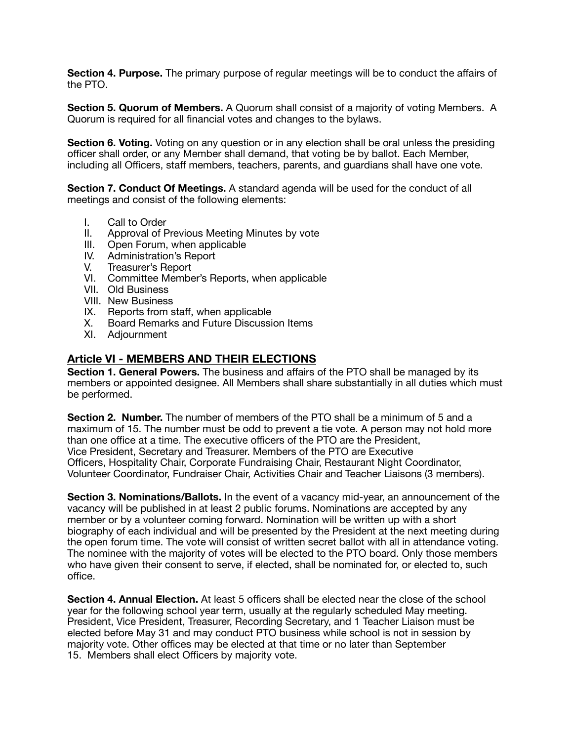**Section 4. Purpose.** The primary purpose of regular meetings will be to conduct the affairs of the PTO.

**Section 5. Quorum of Members.** A Quorum shall consist of a majority of voting Members. A Quorum is required for all financial votes and changes to the bylaws.

**Section 6. Voting.** Voting on any question or in any election shall be oral unless the presiding officer shall order, or any Member shall demand, that voting be by ballot. Each Member, including all Officers, staff members, teachers, parents, and guardians shall have one vote.

**Section 7. Conduct Of Meetings.** A standard agenda will be used for the conduct of all meetings and consist of the following elements:

- I. Call to Order
- II. Approval of Previous Meeting Minutes by vote
- III. Open Forum, when applicable
- IV. Administration's Report
- V. Treasurer's Report
- VI. Committee Member's Reports, when applicable
- VII. Old Business
- VIII. New Business
- IX. Reports from staff, when applicable
- X. Board Remarks and Future Discussion Items
- XI. Adjournment

### **Article VI - MEMBERS AND THEIR ELECTIONS**

**Section 1. General Powers.** The business and affairs of the PTO shall be managed by its members or appointed designee. All Members shall share substantially in all duties which must be performed.

**Section 2. Number.** The number of members of the PTO shall be a minimum of 5 and a maximum of 15. The number must be odd to prevent a tie vote. A person may not hold more than one office at a time. The executive officers of the PTO are the President, Vice President, Secretary and Treasurer. Members of the PTO are Executive Officers, Hospitality Chair, Corporate Fundraising Chair, Restaurant Night Coordinator, Volunteer Coordinator, Fundraiser Chair, Activities Chair and Teacher Liaisons (3 members).

**Section 3. Nominations/Ballots.** In the event of a vacancy mid-year, an announcement of the vacancy will be published in at least 2 public forums. Nominations are accepted by any member or by a volunteer coming forward. Nomination will be written up with a short biography of each individual and will be presented by the President at the next meeting during the open forum time. The vote will consist of written secret ballot with all in attendance voting. The nominee with the majority of votes will be elected to the PTO board. Only those members who have given their consent to serve, if elected, shall be nominated for, or elected to, such office.

**Section 4. Annual Election.** At least 5 officers shall be elected near the close of the school year for the following school year term, usually at the regularly scheduled May meeting. President, Vice President, Treasurer, Recording Secretary, and 1 Teacher Liaison must be elected before May 31 and may conduct PTO business while school is not in session by majority vote. Other offices may be elected at that time or no later than September 15. Members shall elect Officers by majority vote.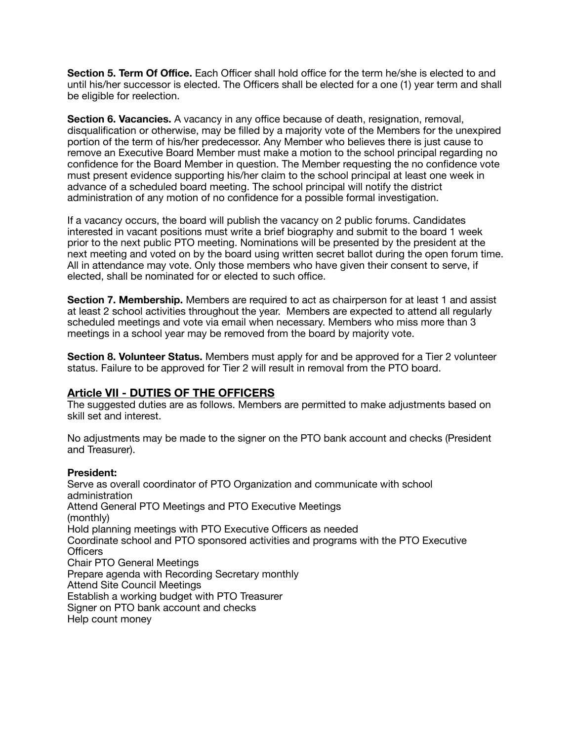**Section 5. Term Of Office.** Each Officer shall hold office for the term he/she is elected to and until his/her successor is elected. The Officers shall be elected for a one (1) year term and shall be eligible for reelection.

**Section 6. Vacancies.** A vacancy in any office because of death, resignation, removal, disqualification or otherwise, may be filled by a majority vote of the Members for the unexpired portion of the term of his/her predecessor. Any Member who believes there is just cause to remove an Executive Board Member must make a motion to the school principal regarding no confidence for the Board Member in question. The Member requesting the no confidence vote must present evidence supporting his/her claim to the school principal at least one week in advance of a scheduled board meeting. The school principal will notify the district administration of any motion of no confidence for a possible formal investigation.

If a vacancy occurs, the board will publish the vacancy on 2 public forums. Candidates interested in vacant positions must write a brief biography and submit to the board 1 week prior to the next public PTO meeting. Nominations will be presented by the president at the next meeting and voted on by the board using written secret ballot during the open forum time. All in attendance may vote. Only those members who have given their consent to serve, if elected, shall be nominated for or elected to such office.

**Section 7. Membership.** Members are required to act as chairperson for at least 1 and assist at least 2 school activities throughout the year. Members are expected to attend all regularly scheduled meetings and vote via email when necessary. Members who miss more than 3 meetings in a school year may be removed from the board by majority vote.

**Section 8. Volunteer Status.** Members must apply for and be approved for a Tier 2 volunteer status. Failure to be approved for Tier 2 will result in removal from the PTO board.

### **Article VII - DUTIES OF THE OFFICERS**

The suggested duties are as follows. Members are permitted to make adjustments based on skill set and interest.

No adjustments may be made to the signer on the PTO bank account and checks (President and Treasurer).

#### **President:**

Serve as overall coordinator of PTO Organization and communicate with school administration Attend General PTO Meetings and PTO Executive Meetings (monthly) Hold planning meetings with PTO Executive Officers as needed Coordinate school and PTO sponsored activities and programs with the PTO Executive **Officers** Chair PTO General Meetings Prepare agenda with Recording Secretary monthly Attend Site Council Meetings Establish a working budget with PTO Treasurer Signer on PTO bank account and checks Help count money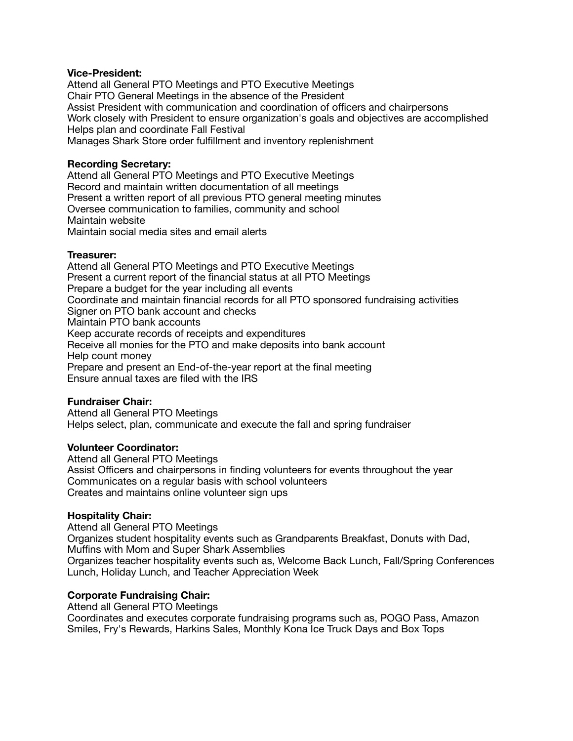#### **Vice-President:**

Attend all General PTO Meetings and PTO Executive Meetings Chair PTO General Meetings in the absence of the President Assist President with communication and coordination of officers and chairpersons Work closely with President to ensure organization's goals and objectives are accomplished Helps plan and coordinate Fall Festival Manages Shark Store order fulfillment and inventory replenishment

#### **Recording Secretary:**

Attend all General PTO Meetings and PTO Executive Meetings Record and maintain written documentation of all meetings Present a written report of all previous PTO general meeting minutes Oversee communication to families, community and school Maintain website Maintain social media sites and email alerts

#### **Treasurer:**

Attend all General PTO Meetings and PTO Executive Meetings Present a current report of the financial status at all PTO Meetings Prepare a budget for the year including all events Coordinate and maintain financial records for all PTO sponsored fundraising activities Signer on PTO bank account and checks Maintain PTO bank accounts Keep accurate records of receipts and expenditures Receive all monies for the PTO and make deposits into bank account Help count money Prepare and present an End-of-the-year report at the final meeting Ensure annual taxes are filed with the IRS

#### **Fundraiser Chair:**

Attend all General PTO Meetings Helps select, plan, communicate and execute the fall and spring fundraiser

#### **Volunteer Coordinator:**

Attend all General PTO Meetings Assist Officers and chairpersons in finding volunteers for events throughout the year Communicates on a regular basis with school volunteers Creates and maintains online volunteer sign ups

#### **Hospitality Chair:**

Attend all General PTO Meetings Organizes student hospitality events such as Grandparents Breakfast, Donuts with Dad, Muffins with Mom and Super Shark Assemblies Organizes teacher hospitality events such as, Welcome Back Lunch, Fall/Spring Conferences Lunch, Holiday Lunch, and Teacher Appreciation Week

#### **Corporate Fundraising Chair:**

Attend all General PTO Meetings Coordinates and executes corporate fundraising programs such as, POGO Pass, Amazon Smiles, Fry's Rewards, Harkins Sales, Monthly Kona Ice Truck Days and Box Tops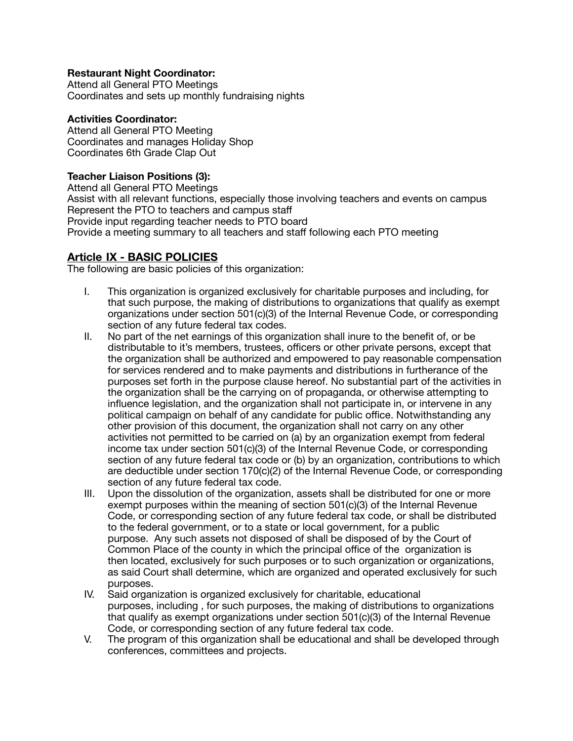#### **Restaurant Night Coordinator:**

Attend all General PTO Meetings Coordinates and sets up monthly fundraising nights

#### **Activities Coordinator:**

Attend all General PTO Meeting Coordinates and manages Holiday Shop Coordinates 6th Grade Clap Out

### **Teacher Liaison Positions (3):**

Attend all General PTO Meetings Assist with all relevant functions, especially those involving teachers and events on campus Represent the PTO to teachers and campus staff Provide input regarding teacher needs to PTO board Provide a meeting summary to all teachers and staff following each PTO meeting

# **Article   IX - BASIC POLICIES**

The following are basic policies of this organization:

- I. This organization is organized exclusively for charitable purposes and including, for that such purpose, the making of distributions to organizations that qualify as exempt organizations under section 501(c)(3) of the Internal Revenue Code, or corresponding section of any future federal tax codes.
- II. No part of the net earnings of this organization shall inure to the benefit of, or be distributable to it's members, trustees, officers or other private persons, except that the organization shall be authorized and empowered to pay reasonable compensation for services rendered and to make payments and distributions in furtherance of the purposes set forth in the purpose clause hereof. No substantial part of the activities in the organization shall be the carrying on of propaganda, or otherwise attempting to influence legislation, and the organization shall not participate in, or intervene in any political campaign on behalf of any candidate for public office. Notwithstanding any other provision of this document, the organization shall not carry on any other activities not permitted to be carried on (a) by an organization exempt from federal income tax under section 501(c)(3) of the Internal Revenue Code, or corresponding section of any future federal tax code or (b) by an organization, contributions to which are deductible under section 170(c)(2) of the Internal Revenue Code, or corresponding section of any future federal tax code.
- III. Upon the dissolution of the organization, assets shall be distributed for one or more exempt purposes within the meaning of section 501(c)(3) of the Internal Revenue Code, or corresponding section of any future federal tax code, or shall be distributed to the federal government, or to a state or local government, for a public purpose. Any such assets not disposed of shall be disposed of by the Court of Common Place of the county in which the principal office of the organization is then located, exclusively for such purposes or to such organization or organizations, as said Court shall determine, which are organized and operated exclusively for such purposes.
- IV. Said organization is organized exclusively for charitable, educational purposes, including , for such purposes, the making of distributions to organizations that qualify as exempt organizations under section 501(c)(3) of the Internal Revenue Code, or corresponding section of any future federal tax code.
- V. The program of this organization shall be educational and shall be developed through conferences, committees and projects.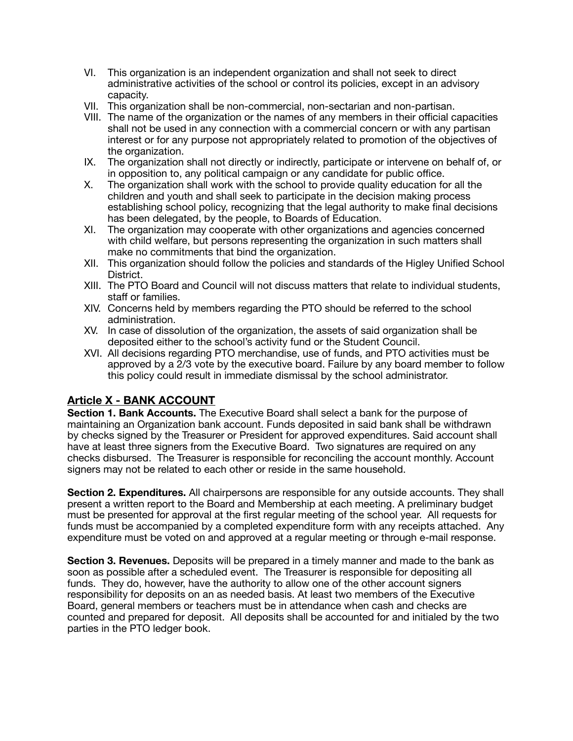- VI. This organization is an independent organization and shall not seek to direct administrative activities of the school or control its policies, except in an advisory capacity.
- VII. This organization shall be non-commercial, non-sectarian and non-partisan.
- VIII. The name of the organization or the names of any members in their official capacities shall not be used in any connection with a commercial concern or with any partisan interest or for any purpose not appropriately related to promotion of the objectives of the organization.
- IX. The organization shall not directly or indirectly, participate or intervene on behalf of, or in opposition to, any political campaign or any candidate for public office.
- X. The organization shall work with the school to provide quality education for all the children and youth and shall seek to participate in the decision making process establishing school policy, recognizing that the legal authority to make final decisions has been delegated, by the people, to Boards of Education.
- XI. The organization may cooperate with other organizations and agencies concerned with child welfare, but persons representing the organization in such matters shall make no commitments that bind the organization.
- XII. This organization should follow the policies and standards of the Higley Unified School District.
- XIII. The PTO Board and Council will not discuss matters that relate to individual students, staff or families.
- XIV. Concerns held by members regarding the PTO should be referred to the school administration.
- XV. In case of dissolution of the organization, the assets of said organization shall be deposited either to the school's activity fund or the Student Council.
- XVI. All decisions regarding PTO merchandise, use of funds, and PTO activities must be approved by a 2/3 vote by the executive board. Failure by any board member to follow this policy could result in immediate dismissal by the school administrator.

# **Article X - BANK ACCOUNT**

**Section 1. Bank Accounts.** The Executive Board shall select a bank for the purpose of maintaining an Organization bank account. Funds deposited in said bank shall be withdrawn by checks signed by the Treasurer or President for approved expenditures. Said account shall have at least three signers from the Executive Board. Two signatures are required on any checks disbursed. The Treasurer is responsible for reconciling the account monthly. Account signers may not be related to each other or reside in the same household.

**Section 2. Expenditures.** All chairpersons are responsible for any outside accounts. They shall present a written report to the Board and Membership at each meeting. A preliminary budget must be presented for approval at the first regular meeting of the school year. All requests for funds must be accompanied by a completed expenditure form with any receipts attached. Any expenditure must be voted on and approved at a regular meeting or through e-mail response.

**Section 3. Revenues.** Deposits will be prepared in a timely manner and made to the bank as soon as possible after a scheduled event. The Treasurer is responsible for depositing all funds. They do, however, have the authority to allow one of the other account signers responsibility for deposits on an as needed basis. At least two members of the Executive Board, general members or teachers must be in attendance when cash and checks are counted and prepared for deposit. All deposits shall be accounted for and initialed by the two parties in the PTO ledger book.